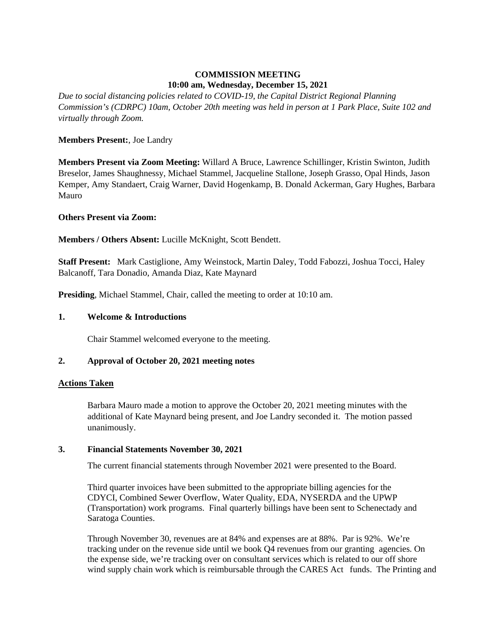# **COMMISSION MEETING 10:00 am, Wednesday, December 15, 2021**

*Due to social distancing policies related to COVID-19, the Capital District Regional Planning Commission's (CDRPC) 10am, October 20th meeting was held in person at 1 Park Place, Suite 102 and virtually through Zoom.*

# **Members Present:**, Joe Landry

**Members Present via Zoom Meeting:** Willard A Bruce, Lawrence Schillinger, Kristin Swinton, Judith Breselor, James Shaughnessy, Michael Stammel, Jacqueline Stallone, Joseph Grasso, Opal Hinds, Jason Kemper, Amy Standaert, Craig Warner, David Hogenkamp, B. Donald Ackerman, Gary Hughes, Barbara Mauro

# **Others Present via Zoom:**

**Members / Others Absent:** Lucille McKnight, Scott Bendett.

**Staff Present:** Mark Castiglione, Amy Weinstock, Martin Daley, Todd Fabozzi, Joshua Tocci, Haley Balcanoff, Tara Donadio, Amanda Diaz, Kate Maynard

**Presiding**, Michael Stammel, Chair, called the meeting to order at 10:10 am.

#### **1. Welcome & Introductions**

Chair Stammel welcomed everyone to the meeting.

# **2. Approval of October 20, 2021 meeting notes**

# **Actions Taken**

Barbara Mauro made a motion to approve the October 20, 2021 meeting minutes with the additional of Kate Maynard being present, and Joe Landry seconded it. The motion passed unanimously.

# **3. Financial Statements November 30, 2021**

The current financial statements through November 2021 were presented to the Board.

Third quarter invoices have been submitted to the appropriate billing agencies for the CDYCI, Combined Sewer Overflow, Water Quality, EDA, NYSERDA and the UPWP (Transportation) work programs. Final quarterly billings have been sent to Schenectady and Saratoga Counties.

Through November 30, revenues are at 84% and expenses are at 88%. Par is 92%. We're tracking under on the revenue side until we book Q4 revenues from our granting agencies. On the expense side, we're tracking over on consultant services which is related to our off shore wind supply chain work which is reimbursable through the CARES Act funds. The Printing and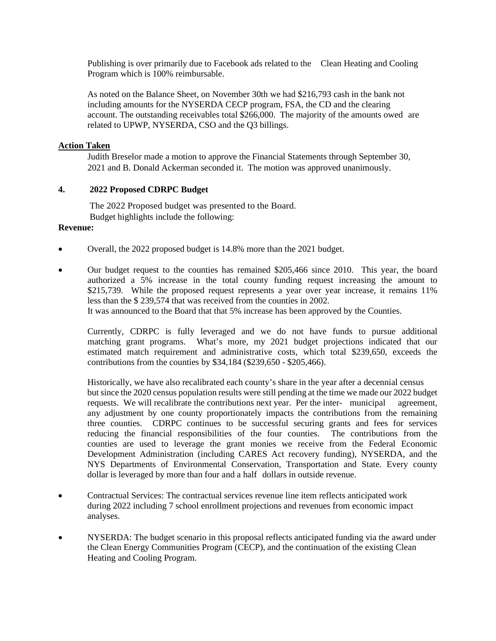Publishing is over primarily due to Facebook ads related to the Clean Heating and Cooling Program which is 100% reimbursable.

As noted on the Balance Sheet, on November 30th we had \$216,793 cash in the bank not including amounts for the NYSERDA CECP program, FSA, the CD and the clearing account. The outstanding receivables total \$266,000. The majority of the amounts owed are related to UPWP, NYSERDA, CSO and the Q3 billings.

#### **Action Taken**

Judith Breselor made a motion to approve the Financial Statements through September 30, 2021 and B. Donald Ackerman seconded it. The motion was approved unanimously.

# **4. 2022 Proposed CDRPC Budget**

The 2022 Proposed budget was presented to the Board. Budget highlights include the following:

# **Revenue:**

- Overall, the 2022 proposed budget is 14.8% more than the 2021 budget.
- Our budget request to the counties has remained \$205,466 since 2010. This year, the board authorized a 5% increase in the total county funding request increasing the amount to \$215,739. While the proposed request represents a year over year increase, it remains 11% less than the \$ 239,574 that was received from the counties in 2002. It was announced to the Board that that 5% increase has been approved by the Counties.

Currently, CDRPC is fully leveraged and we do not have funds to pursue additional matching grant programs. What's more, my 2021 budget projections indicated that our estimated match requirement and administrative costs, which total \$239,650, exceeds the contributions from the counties by \$34,184 (\$239,650 - \$205,466).

Historically, we have also recalibrated each county's share in the year after a decennial census but since the 2020 census population results were still pending at the time we made our 2022 budget requests. We will recalibrate the contributions next year. Per the inter- municipal agreement, any adjustment by one county proportionately impacts the contributions from the remaining three counties. CDRPC continues to be successful securing grants and fees for services reducing the financial responsibilities of the four counties. The contributions from the counties are used to leverage the grant monies we receive from the Federal Economic Development Administration (including CARES Act recovery funding), NYSERDA, and the NYS Departments of Environmental Conservation, Transportation and State. Every county dollar is leveraged by more than four and a half dollars in outside revenue.

- Contractual Services: The contractual services revenue line item reflects anticipated work during 2022 including 7 school enrollment projections and revenues from economic impact analyses.
- NYSERDA: The budget scenario in this proposal reflects anticipated funding via the award under the Clean Energy Communities Program (CECP), and the continuation of the existing Clean Heating and Cooling Program.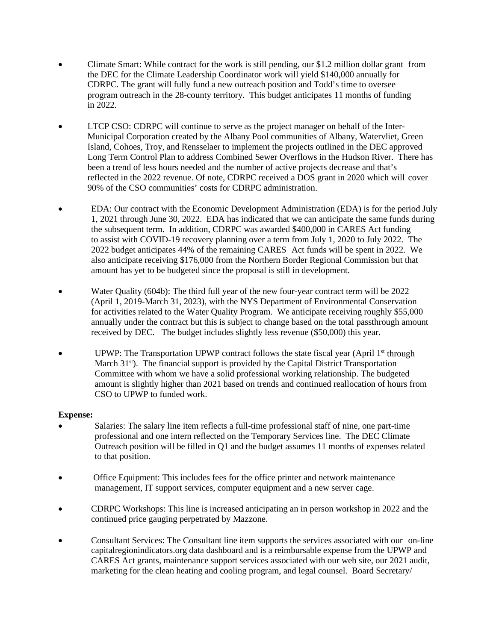- Climate Smart: While contract for the work is still pending, our \$1.2 million dollar grant from the DEC for the Climate Leadership Coordinator work will yield \$140,000 annually for CDRPC. The grant will fully fund a new outreach position and Todd's time to oversee program outreach in the 28-county territory. This budget anticipates 11 months of funding in 2022.
- LTCP CSO: CDRPC will continue to serve as the project manager on behalf of the Inter-Municipal Corporation created by the Albany Pool communities of Albany, Watervliet, Green Island, Cohoes, Troy, and Rensselaer to implement the projects outlined in the DEC approved Long Term Control Plan to address Combined Sewer Overflows in the Hudson River. There has been a trend of less hours needed and the number of active projects decrease and that's reflected in the 2022 revenue. Of note, CDRPC received a DOS grant in 2020 which will cover 90% of the CSO communities' costs for CDRPC administration.
- EDA: Our contract with the Economic Development Administration (EDA) is for the period July 1, 2021 through June 30, 2022. EDA has indicated that we can anticipate the same funds during the subsequent term. In addition, CDRPC was awarded \$400,000 in CARES Act funding to assist with COVID-19 recovery planning over a term from July 1, 2020 to July 2022. The 2022 budget anticipates 44% of the remaining CARES Act funds will be spent in 2022. We also anticipate receiving \$176,000 from the Northern Border Regional Commission but that amount has yet to be budgeted since the proposal is still in development.
- Water Quality (604b): The third full year of the new four-year contract term will be 2022 (April 1, 2019-March 31, 2023), with the NYS Department of Environmental Conservation for activities related to the Water Quality Program. We anticipate receiving roughly \$55,000 annually under the contract but this is subject to change based on the total passthrough amount received by DEC. The budget includes slightly less revenue (\$50,000) this year.
- UPWP: The Transportation UPWP contract follows the state fiscal year (April  $1<sup>st</sup>$  through March 31<sup>st</sup>). The financial support is provided by the Capital District Transportation Committee with whom we have a solid professional working relationship. The budgeted amount is slightly higher than 2021 based on trends and continued reallocation of hours from CSO to UPWP to funded work.

# **Expense:**

- Salaries: The salary line item reflects a full-time professional staff of nine, one part-time professional and one intern reflected on the Temporary Services line. The DEC Climate Outreach position will be filled in Q1 and the budget assumes 11 months of expenses related to that position.
- Office Equipment: This includes fees for the office printer and network maintenance management, IT support services, computer equipment and a new server cage.
- CDRPC Workshops: This line is increased anticipating an in person workshop in 2022 and the continued price gauging perpetrated by Mazzone.
- Consultant Services: The Consultant line item supports the services associated with our on-line capitalregionindicators.org data dashboard and is a reimbursable expense from the UPWP and CARES Act grants, maintenance support services associated with our web site, our 2021 audit, marketing for the clean heating and cooling program, and legal counsel. Board Secretary/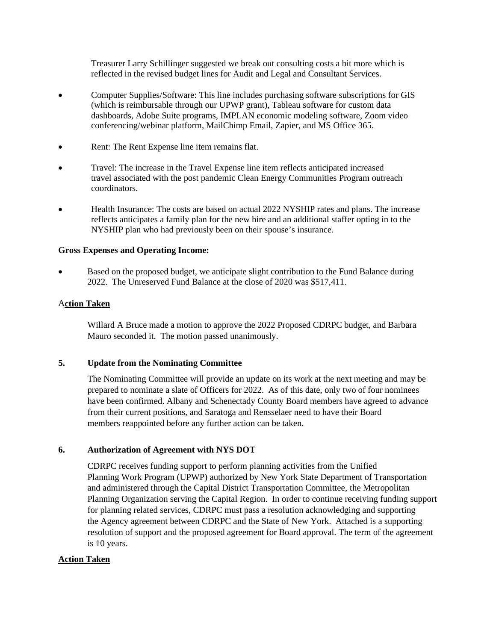Treasurer Larry Schillinger suggested we break out consulting costs a bit more which is reflected in the revised budget lines for Audit and Legal and Consultant Services.

- Computer Supplies/Software: This line includes purchasing software subscriptions for GIS (which is reimbursable through our UPWP grant), Tableau software for custom data dashboards, Adobe Suite programs, IMPLAN economic modeling software, Zoom video conferencing/webinar platform, MailChimp Email, Zapier, and MS Office 365.
- Rent: The Rent Expense line item remains flat.
- Travel: The increase in the Travel Expense line item reflects anticipated increased travel associated with the post pandemic Clean Energy Communities Program outreach coordinators.
- Health Insurance: The costs are based on actual 2022 NYSHIP rates and plans. The increase reflects anticipates a family plan for the new hire and an additional staffer opting in to the NYSHIP plan who had previously been on their spouse's insurance.

#### **Gross Expenses and Operating Income:**

• Based on the proposed budget, we anticipate slight contribution to the Fund Balance during 2022. The Unreserved Fund Balance at the close of 2020 was \$517,411.

#### A**ction Taken**

Willard A Bruce made a motion to approve the 2022 Proposed CDRPC budget, and Barbara Mauro seconded it. The motion passed unanimously.

# **5. Update from the Nominating Committee**

The Nominating Committee will provide an update on its work at the next meeting and may be prepared to nominate a slate of Officers for 2022. As of this date, only two of four nominees have been confirmed. Albany and Schenectady County Board members have agreed to advance from their current positions, and Saratoga and Rensselaer need to have their Board members reappointed before any further action can be taken.

# **6. Authorization of Agreement with NYS DOT**

CDRPC receives funding support to perform planning activities from the Unified Planning Work Program (UPWP) authorized by New York State Department of Transportation and administered through the Capital District Transportation Committee, the Metropolitan Planning Organization serving the Capital Region. In order to continue receiving funding support for planning related services, CDRPC must pass a resolution acknowledging and supporting the Agency agreement between CDRPC and the State of New York. Attached is a supporting resolution of support and the proposed agreement for Board approval. The term of the agreement is 10 years.

# **Action Taken**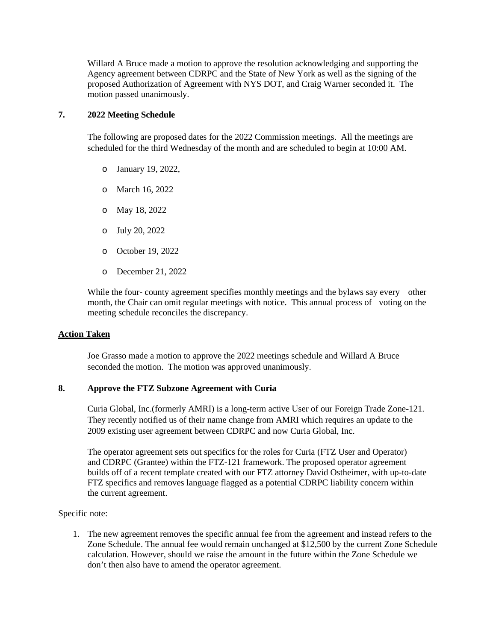Willard A Bruce made a motion to approve the resolution acknowledging and supporting the Agency agreement between CDRPC and the State of New York as well as the signing of the proposed Authorization of Agreement with NYS DOT, and Craig Warner seconded it. The motion passed unanimously.

#### **7. 2022 Meeting Schedule**

The following are proposed dates for the 2022 Commission meetings. All the meetings are scheduled for the third Wednesday of the month and are scheduled to begin at 10:00 AM.

- o January 19, 2022,
- o March 16, 2022
- o May 18, 2022
- o July 20, 2022
- o October 19, 2022
- o December 21, 2022

While the four-county agreement specifies monthly meetings and the bylaws say every other month, the Chair can omit regular meetings with notice. This annual process of voting on the meeting schedule reconciles the discrepancy.

# **Action Taken**

Joe Grasso made a motion to approve the 2022 meetings schedule and Willard A Bruce seconded the motion. The motion was approved unanimously.

# **8. Approve the FTZ Subzone Agreement with Curia**

Curia Global, Inc.(formerly AMRI) is a long-term active User of our Foreign Trade Zone-121. They recently notified us of their name change from AMRI which requires an update to the 2009 existing user agreement between CDRPC and now Curia Global, Inc.

The operator agreement sets out specifics for the roles for Curia (FTZ User and Operator) and CDRPC (Grantee) within the FTZ-121 framework. The proposed operator agreement builds off of a recent template created with our FTZ attorney David Ostheimer, with up-to-date FTZ specifics and removes language flagged as a potential CDRPC liability concern within the current agreement.

Specific note:

1. The new agreement removes the specific annual fee from the agreement and instead refers to the Zone Schedule. The annual fee would remain unchanged at \$12,500 by the current Zone Schedule calculation. However, should we raise the amount in the future within the Zone Schedule we don't then also have to amend the operator agreement.